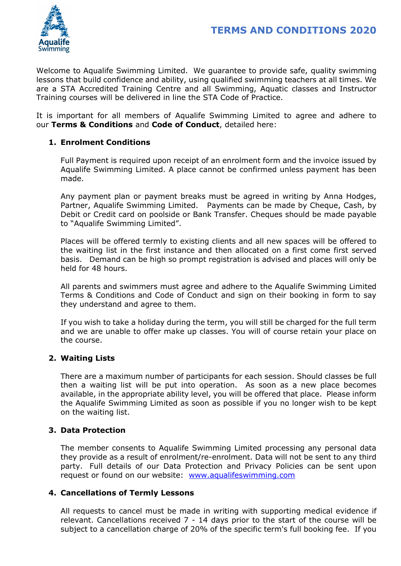

Welcome to Aqualife Swimming Limited. We guarantee to provide safe, quality swimming lessons that build confidence and ability, using qualified swimming teachers at all times. We are a STA Accredited Training Centre and all Swimming, Aquatic classes and Instructor Training courses will be delivered in line the STA Code of Practice.

It is important for all members of Aqualife Swimming Limited to agree and adhere to our Terms & Conditions and Code of Conduct, detailed here:

## 1. Enrolment Conditions

Full Payment is required upon receipt of an enrolment form and the invoice issued by Aqualife Swimming Limited. A place cannot be confirmed unless payment has been made.

Any payment plan or payment breaks must be agreed in writing by Anna Hodges, Partner, Aqualife Swimming Limited. Payments can be made by Cheque, Cash, by Debit or Credit card on poolside or Bank Transfer. Cheques should be made payable to "Aqualife Swimming Limited".

Places will be offered termly to existing clients and all new spaces will be offered to the waiting list in the first instance and then allocated on a first come first served basis. Demand can be high so prompt registration is advised and places will only be held for 48 hours.

All parents and swimmers must agree and adhere to the Aqualife Swimming Limited Terms & Conditions and Code of Conduct and sign on their booking in form to say they understand and agree to them.

If you wish to take a holiday during the term, you will still be charged for the full term and we are unable to offer make up classes. You will of course retain your place on the course.

## 2. Waiting Lists

There are a maximum number of participants for each session. Should classes be full then a waiting list will be put into operation. As soon as a new place becomes available, in the appropriate ability level, you will be offered that place. Please inform the Aqualife Swimming Limited as soon as possible if you no longer wish to be kept on the waiting list.

## 3. Data Protection

The member consents to Aqualife Swimming Limited processing any personal data they provide as a result of enrolment/re-enrolment. Data will not be sent to any third party. Full details of our Data Protection and Privacy Policies can be sent upon request or found on our website: www.aqualifeswimming.com

## 4. Cancellations of Termly Lessons

All requests to cancel must be made in writing with supporting medical evidence if relevant. Cancellations received 7 - 14 days prior to the start of the course will be subject to a cancellation charge of 20% of the specific term's full booking fee. If you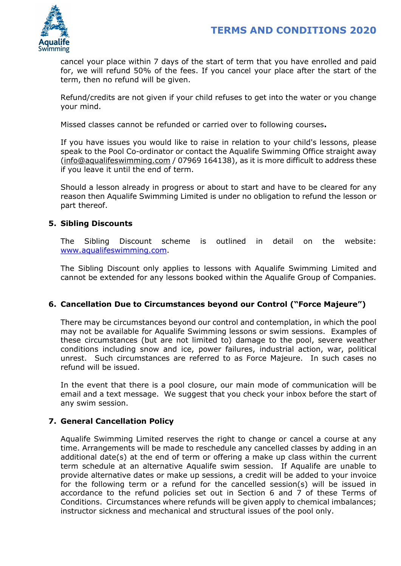

cancel your place within 7 days of the start of term that you have enrolled and paid for, we will refund 50% of the fees. If you cancel your place after the start of the term, then no refund will be given.

Refund/credits are not given if your child refuses to get into the water or you change your mind.

Missed classes cannot be refunded or carried over to following courses.

If you have issues you would like to raise in relation to your child's lessons, please speak to the Pool Co-ordinator or contact the Aqualife Swimming Office straight away (info@aqualifeswimming.com / 07969 164138), as it is more difficult to address these if you leave it until the end of term.

Should a lesson already in progress or about to start and have to be cleared for any reason then Aqualife Swimming Limited is under no obligation to refund the lesson or part thereof.

## 5. Sibling Discounts

The Sibling Discount scheme is outlined in detail on the website: www.aqualifeswimming.com.

The Sibling Discount only applies to lessons with Aqualife Swimming Limited and cannot be extended for any lessons booked within the Aqualife Group of Companies.

## 6. Cancellation Due to Circumstances beyond our Control ("Force Majeure")

There may be circumstances beyond our control and contemplation, in which the pool may not be available for Aqualife Swimming lessons or swim sessions. Examples of these circumstances (but are not limited to) damage to the pool, severe weather conditions including snow and ice, power failures, industrial action, war, political unrest. Such circumstances are referred to as Force Majeure. In such cases no refund will be issued.

In the event that there is a pool closure, our main mode of communication will be email and a text message. We suggest that you check your inbox before the start of any swim session.

## 7. General Cancellation Policy

Aqualife Swimming Limited reserves the right to change or cancel a course at any time. Arrangements will be made to reschedule any cancelled classes by adding in an additional date(s) at the end of term or offering a make up class within the current term schedule at an alternative Aqualife swim session. If Aqualife are unable to provide alternative dates or make up sessions, a credit will be added to your invoice for the following term or a refund for the cancelled session(s) will be issued in accordance to the refund policies set out in Section 6 and 7 of these Terms of Conditions. Circumstances where refunds will be given apply to chemical imbalances; instructor sickness and mechanical and structural issues of the pool only.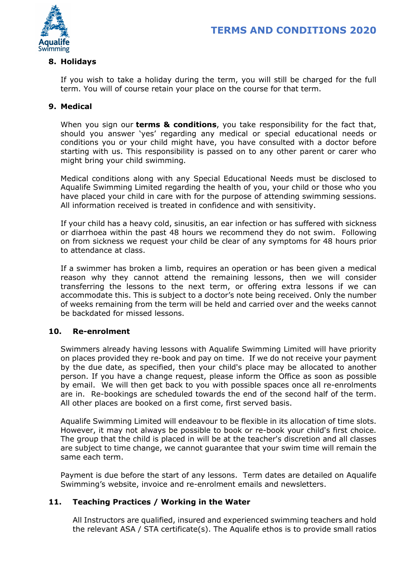

#### 8. Holidays

If you wish to take a holiday during the term, you will still be charged for the full term. You will of course retain your place on the course for that term.

## 9. Medical

When you sign our **terms & conditions**, you take responsibility for the fact that, should you answer 'yes' regarding any medical or special educational needs or conditions you or your child might have, you have consulted with a doctor before starting with us. This responsibility is passed on to any other parent or carer who might bring your child swimming.

Medical conditions along with any Special Educational Needs must be disclosed to Aqualife Swimming Limited regarding the health of you, your child or those who you have placed your child in care with for the purpose of attending swimming sessions. All information received is treated in confidence and with sensitivity.

If your child has a heavy cold, sinusitis, an ear infection or has suffered with sickness or diarrhoea within the past 48 hours we recommend they do not swim. Following on from sickness we request your child be clear of any symptoms for 48 hours prior to attendance at class.

If a swimmer has broken a limb, requires an operation or has been given a medical reason why they cannot attend the remaining lessons, then we will consider transferring the lessons to the next term, or offering extra lessons if we can accommodate this. This is subject to a doctor's note being received. Only the number of weeks remaining from the term will be held and carried over and the weeks cannot be backdated for missed lessons.

## 10. Re-enrolment

Swimmers already having lessons with Aqualife Swimming Limited will have priority on places provided they re-book and pay on time. If we do not receive your payment by the due date, as specified, then your child's place may be allocated to another person. If you have a change request, please inform the Office as soon as possible by email. We will then get back to you with possible spaces once all re-enrolments are in. Re-bookings are scheduled towards the end of the second half of the term. All other places are booked on a first come, first served basis.

Aqualife Swimming Limited will endeavour to be flexible in its allocation of time slots. However, it may not always be possible to book or re-book your child's first choice. The group that the child is placed in will be at the teacher's discretion and all classes are subject to time change, we cannot guarantee that your swim time will remain the same each term.

Payment is due before the start of any lessons. Term dates are detailed on Aqualife Swimming's website, invoice and re-enrolment emails and newsletters.

## 11. Teaching Practices / Working in the Water

All Instructors are qualified, insured and experienced swimming teachers and hold the relevant ASA / STA certificate(s). The Aqualife ethos is to provide small ratios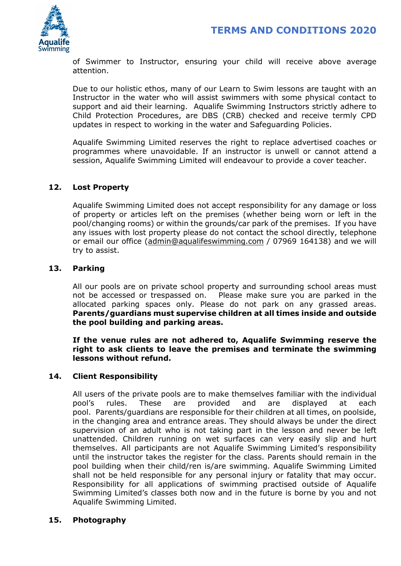

of Swimmer to Instructor, ensuring your child will receive above average attention.

Due to our holistic ethos, many of our Learn to Swim lessons are taught with an Instructor in the water who will assist swimmers with some physical contact to support and aid their learning. Aqualife Swimming Instructors strictly adhere to Child Protection Procedures, are DBS (CRB) checked and receive termly CPD updates in respect to working in the water and Safeguarding Policies.

Aqualife Swimming Limited reserves the right to replace advertised coaches or programmes where unavoidable. If an instructor is unwell or cannot attend a session, Aqualife Swimming Limited will endeavour to provide a cover teacher.

## 12. Lost Property

Aqualife Swimming Limited does not accept responsibility for any damage or loss of property or articles left on the premises (whether being worn or left in the pool/changing rooms) or within the grounds/car park of the premises. If you have any issues with lost property please do not contact the school directly, telephone or email our office (admin@aqualifeswimming.com / 07969 164138) and we will try to assist.

#### 13. Parking

All our pools are on private school property and surrounding school areas must not be accessed or trespassed on. Please make sure you are parked in the allocated parking spaces only. Please do not park on any grassed areas. Parents/guardians must supervise children at all times inside and outside the pool building and parking areas.

If the venue rules are not adhered to, Aqualife Swimming reserve the right to ask clients to leave the premises and terminate the swimming lessons without refund.

## 14. Client Responsibility

All users of the private pools are to make themselves familiar with the individual pool's rules. These are provided and are displayed at each pool. Parents/guardians are responsible for their children at all times, on poolside, in the changing area and entrance areas. They should always be under the direct supervision of an adult who is not taking part in the lesson and never be left unattended. Children running on wet surfaces can very easily slip and hurt themselves. All participants are not Aqualife Swimming Limited's responsibility until the instructor takes the register for the class. Parents should remain in the pool building when their child/ren is/are swimming. Aqualife Swimming Limited shall not be held responsible for any personal injury or fatality that may occur. Responsibility for all applications of swimming practised outside of Aqualife Swimming Limited's classes both now and in the future is borne by you and not Aqualife Swimming Limited.

#### 15. Photography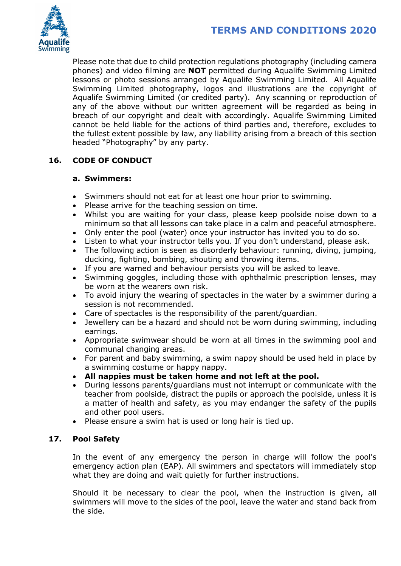

Please note that due to child protection regulations photography (including camera phones) and video filming are NOT permitted during Aqualife Swimming Limited lessons or photo sessions arranged by Aqualife Swimming Limited. All Aqualife Swimming Limited photography, logos and illustrations are the copyright of Aqualife Swimming Limited (or credited party). Any scanning or reproduction of any of the above without our written agreement will be regarded as being in breach of our copyright and dealt with accordingly. Aqualife Swimming Limited cannot be held liable for the actions of third parties and, therefore, excludes to the fullest extent possible by law, any liability arising from a breach of this section headed "Photography" by any party.

# 16. CODE OF CONDUCT

## a. Swimmers:

- Swimmers should not eat for at least one hour prior to swimming.
- Please arrive for the teaching session on time.
- Whilst you are waiting for your class, please keep poolside noise down to a minimum so that all lessons can take place in a calm and peaceful atmosphere.
- Only enter the pool (water) once your instructor has invited you to do so.
- Listen to what your instructor tells you. If you don't understand, please ask.
- The following action is seen as disorderly behaviour: running, diving, jumping, ducking, fighting, bombing, shouting and throwing items.
- If you are warned and behaviour persists you will be asked to leave.
- Swimming goggles, including those with ophthalmic prescription lenses, may be worn at the wearers own risk.
- To avoid injury the wearing of spectacles in the water by a swimmer during a session is not recommended.
- Care of spectacles is the responsibility of the parent/guardian.
- Jewellery can be a hazard and should not be worn during swimming, including earrings.
- Appropriate swimwear should be worn at all times in the swimming pool and communal changing areas.
- For parent and baby swimming, a swim nappy should be used held in place by a swimming costume or happy nappy.
- All nappies must be taken home and not left at the pool.
- During lessons parents/guardians must not interrupt or communicate with the teacher from poolside, distract the pupils or approach the poolside, unless it is a matter of health and safety, as you may endanger the safety of the pupils and other pool users.
- Please ensure a swim hat is used or long hair is tied up.

## 17. Pool Safety

In the event of any emergency the person in charge will follow the pool's emergency action plan (EAP). All swimmers and spectators will immediately stop what they are doing and wait quietly for further instructions.

Should it be necessary to clear the pool, when the instruction is given, all swimmers will move to the sides of the pool, leave the water and stand back from the side.